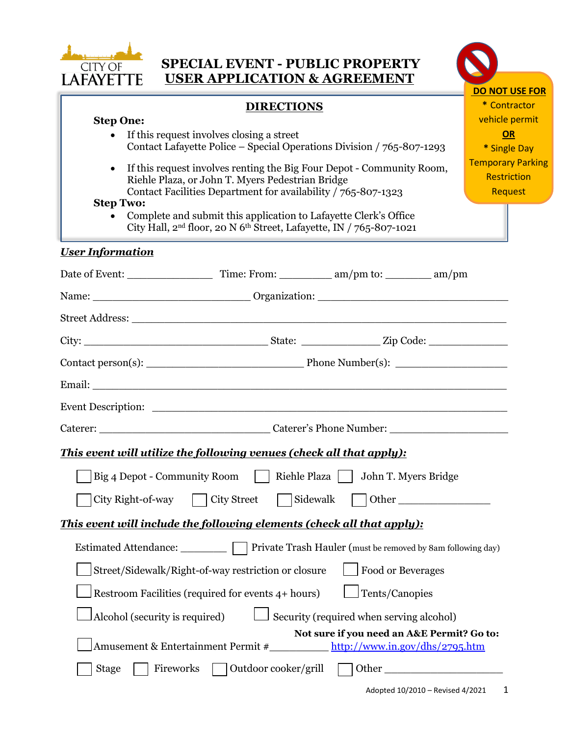

| <b>SPECIAL EVENT - PUBLIC PROPERTY</b><br><b>CITY OF</b><br><b>USER APPLICATION &amp; AGREEMENT</b><br>LAFAYETTE                                                                                                            |                                                                  |  |  |  |
|-----------------------------------------------------------------------------------------------------------------------------------------------------------------------------------------------------------------------------|------------------------------------------------------------------|--|--|--|
|                                                                                                                                                                                                                             | <b>DO NOT USE FOR</b><br>* Contractor                            |  |  |  |
| <b>DIRECTIONS</b><br><b>Step One:</b><br>If this request involves closing a street<br>$\bullet$<br>Contact Lafayette Police – Special Operations Division / 765-807-1293                                                    | vehicle permit<br><b>OR</b><br>* Single Day                      |  |  |  |
| If this request involves renting the Big Four Depot - Community Room,<br>$\bullet$<br>Riehle Plaza, or John T. Myers Pedestrian Bridge<br>Contact Facilities Department for availability / 765-807-1323<br><b>Step Two:</b> | <b>Temporary Parking</b><br><b>Restriction</b><br><b>Request</b> |  |  |  |
| Complete and submit this application to Lafayette Clerk's Office<br>City Hall, 2 <sup>nd</sup> floor, 20 N 6 <sup>th</sup> Street, Lafayette, IN / 765-807-1021                                                             |                                                                  |  |  |  |
| <b>User Information</b>                                                                                                                                                                                                     |                                                                  |  |  |  |
|                                                                                                                                                                                                                             |                                                                  |  |  |  |
|                                                                                                                                                                                                                             |                                                                  |  |  |  |
|                                                                                                                                                                                                                             |                                                                  |  |  |  |
|                                                                                                                                                                                                                             |                                                                  |  |  |  |
|                                                                                                                                                                                                                             |                                                                  |  |  |  |
|                                                                                                                                                                                                                             |                                                                  |  |  |  |
|                                                                                                                                                                                                                             |                                                                  |  |  |  |
| Caterer: Caterer's Phone Number:                                                                                                                                                                                            |                                                                  |  |  |  |
| This event will utilize the following venues (check all that apply):                                                                                                                                                        |                                                                  |  |  |  |
| Big 4 Depot - Community Room   Riehle Plaza   John T. Myers Bridge                                                                                                                                                          |                                                                  |  |  |  |
| Sidewalk<br>City Right-of-way<br><b>City Street</b><br>Other                                                                                                                                                                |                                                                  |  |  |  |
| This event will include the following elements (check all that apply):                                                                                                                                                      |                                                                  |  |  |  |
|                                                                                                                                                                                                                             |                                                                  |  |  |  |
| Private Trash Hauler (must be removed by 8am following day)<br>Estimated Attendance:                                                                                                                                        |                                                                  |  |  |  |
| <b>Food or Beverages</b><br>Street/Sidewalk/Right-of-way restriction or closure                                                                                                                                             |                                                                  |  |  |  |
| Tents/Canopies<br>Restroom Facilities (required for events 4+ hours)                                                                                                                                                        |                                                                  |  |  |  |
| Security (required when serving alcohol)<br>Alcohol (security is required)                                                                                                                                                  |                                                                  |  |  |  |
| Not sure if you need an A&E Permit? Go to:<br>http://www.in.gov/dhs/2795.htm<br>Amusement & Entertainment Permit #                                                                                                          |                                                                  |  |  |  |

Stage Fireworks Outdoor cooker/grill Other

l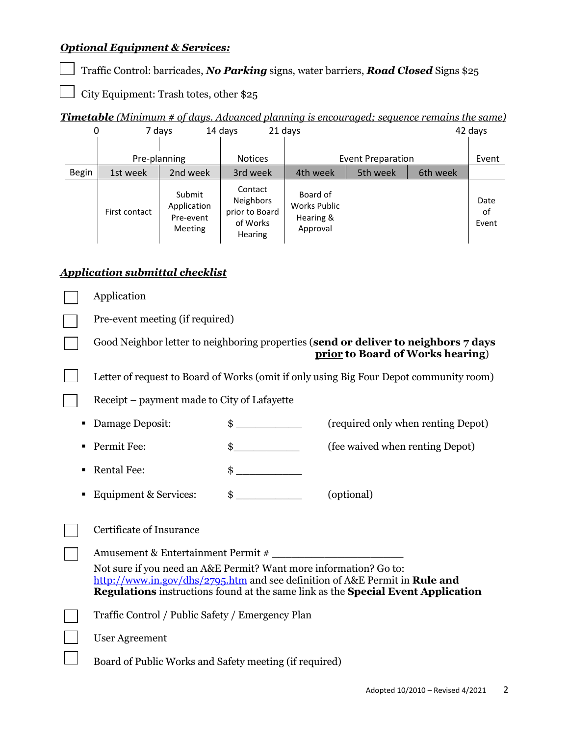# *Optional Equipment & Services:*

Traffic Control: barricades, *No Parking* signs, water barriers, *Road Closed* Signs \$25

City Equipment: Trash totes, other \$25

|  |  |  | <b>Timetable</b> (Minimum # of days. Advanced planning is encouraged; sequence remains the same) |
|--|--|--|--------------------------------------------------------------------------------------------------|
|  |  |  |                                                                                                  |
|  |  |  |                                                                                                  |

| 0            |               | 7 days                                               | 14 days                                                                     | 21 days                                                  |                          |          | 42 days             |
|--------------|---------------|------------------------------------------------------|-----------------------------------------------------------------------------|----------------------------------------------------------|--------------------------|----------|---------------------|
|              |               | Pre-planning                                         | <b>Notices</b>                                                              |                                                          | <b>Event Preparation</b> |          | Event               |
| <b>Begin</b> | 1st week      | 2nd week                                             | 3rd week                                                                    | 4th week                                                 | 5th week                 | 6th week |                     |
|              | First contact | Submit<br>Application<br>Pre-event<br><b>Meeting</b> | Contact<br><b>Neighbors</b><br>prior to Board<br>of Works<br><b>Hearing</b> | Board of<br><b>Works Public</b><br>Hearing &<br>Approval |                          |          | Date<br>of<br>Event |

# *Application submittal checklist*

|   | Application                                                       |               |                                                                                                                                                                        |
|---|-------------------------------------------------------------------|---------------|------------------------------------------------------------------------------------------------------------------------------------------------------------------------|
|   | Pre-event meeting (if required)                                   |               |                                                                                                                                                                        |
|   |                                                                   |               | Good Neighbor letter to neighboring properties (send or deliver to neighbors 7 days<br>prior to Board of Works hearing)                                                |
|   |                                                                   |               | Letter of request to Board of Works (omit if only using Big Four Depot community room)                                                                                 |
|   | Receipt – payment made to City of Lafayette                       |               |                                                                                                                                                                        |
| ٠ | Damage Deposit:                                                   |               | (required only when renting Depot)                                                                                                                                     |
| ٠ | Permit Fee:                                                       | $\frac{1}{2}$ | (fee waived when renting Depot)                                                                                                                                        |
| ٠ | <b>Rental Fee:</b>                                                |               |                                                                                                                                                                        |
| ٠ | <b>Equipment &amp; Services:</b>                                  | $\frac{1}{2}$ | (optional)                                                                                                                                                             |
|   | Certificate of Insurance                                          |               |                                                                                                                                                                        |
|   | Amusement & Entertainment Permit #                                |               |                                                                                                                                                                        |
|   | Not sure if you need an A&E Permit? Want more information? Go to: |               | http://www.in.gov/dhs/2795.htm and see definition of A&E Permit in <b>Rule and</b><br>Regulations instructions found at the same link as the Special Event Application |
|   | Traffic Control / Public Safety / Emergency Plan                  |               |                                                                                                                                                                        |
|   | <b>User Agreement</b>                                             |               |                                                                                                                                                                        |
|   | Board of Public Works and Safety meeting (if required)            |               |                                                                                                                                                                        |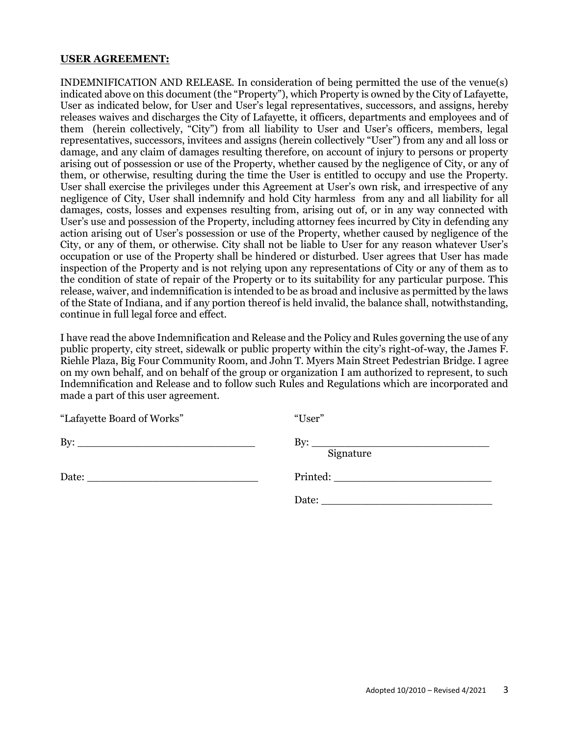#### **USER AGREEMENT:**

INDEMNIFICATION AND RELEASE. In consideration of being permitted the use of the venue(s) indicated above on this document (the "Property"), which Property is owned by the City of Lafayette, User as indicated below, for User and User's legal representatives, successors, and assigns, hereby releases waives and discharges the City of Lafayette, it officers, departments and employees and of them (herein collectively, "City") from all liability to User and User's officers, members, legal representatives, successors, invitees and assigns (herein collectively "User") from any and all loss or damage, and any claim of damages resulting therefore, on account of injury to persons or property arising out of possession or use of the Property, whether caused by the negligence of City, or any of them, or otherwise, resulting during the time the User is entitled to occupy and use the Property. User shall exercise the privileges under this Agreement at User's own risk, and irrespective of any negligence of City, User shall indemnify and hold City harmless from any and all liability for all damages, costs, losses and expenses resulting from, arising out of, or in any way connected with User's use and possession of the Property, including attorney fees incurred by City in defending any action arising out of User's possession or use of the Property, whether caused by negligence of the City, or any of them, or otherwise. City shall not be liable to User for any reason whatever User's occupation or use of the Property shall be hindered or disturbed. User agrees that User has made inspection of the Property and is not relying upon any representations of City or any of them as to the condition of state of repair of the Property or to its suitability for any particular purpose. This release, waiver, and indemnification is intended to be as broad and inclusive as permitted by the laws of the State of Indiana, and if any portion thereof is held invalid, the balance shall, notwithstanding, continue in full legal force and effect.

I have read the above Indemnification and Release and the Policy and Rules governing the use of any public property, city street, sidewalk or public property within the city's right-of-way, the James F. Riehle Plaza, Big Four Community Room, and John T. Myers Main Street Pedestrian Bridge. I agree on my own behalf, and on behalf of the group or organization I am authorized to represent, to such Indemnification and Release and to follow such Rules and Regulations which are incorporated and made a part of this user agreement.

| "Lafayette Board of Works" | "User"                                                                                             |
|----------------------------|----------------------------------------------------------------------------------------------------|
|                            | By: $\qquad \qquad$<br>Signature                                                                   |
|                            | Printed: New York Printed:                                                                         |
|                            | Date:<br>the control of the control of the control of the control of the control of the control of |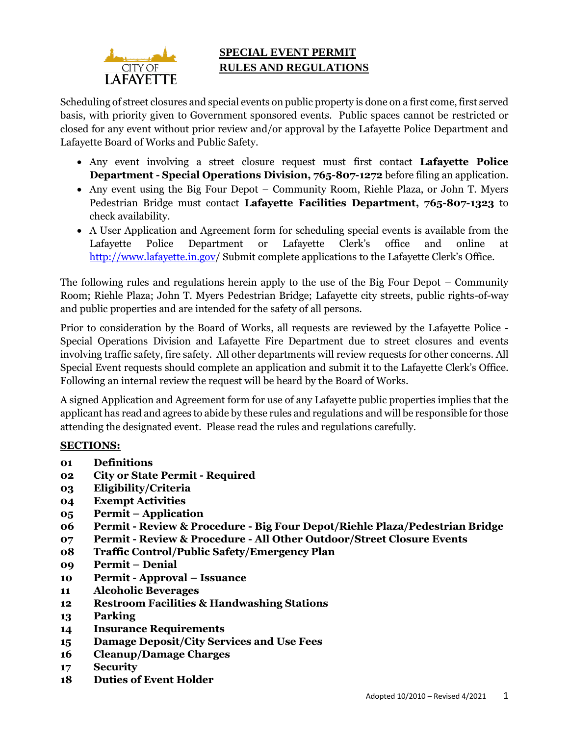

# **SPECIAL EVENT PERMIT RULES AND REGULATIONS**

Scheduling of street closures and special events on public property is done on a first come, first served basis, with priority given to Government sponsored events. Public spaces cannot be restricted or closed for any event without prior review and/or approval by the Lafayette Police Department and Lafayette Board of Works and Public Safety.

- Any event involving a street closure request must first contact **Lafayette Police Department - Special Operations Division, 765-807-1272** before filing an application.
- Any event using the Big Four Depot Community Room, Riehle Plaza, or John T. Myers Pedestrian Bridge must contact **Lafayette Facilities Department, 765-807-1323** to check availability.
- A User Application and Agreement form for scheduling special events is available from the Lafayette Police Department or Lafayette Clerk's office and online at [http://www.lafayette.in.gov/](http://www.lafayette.in.gov/666/Special-Event-Permit-Application-Rules) Submit complete applications to the Lafayette Clerk's Office.

The following rules and regulations herein apply to the use of the Big Four Depot – Community Room; Riehle Plaza; John T. Myers Pedestrian Bridge; Lafayette city streets, public rights-of-way and public properties and are intended for the safety of all persons.

Prior to consideration by the Board of Works, all requests are reviewed by the Lafayette Police - Special Operations Division and Lafayette Fire Department due to street closures and events involving traffic safety, fire safety. All other departments will review requests for other concerns. All Special Event requests should complete an application and submit it to the Lafayette Clerk's Office. Following an internal review the request will be heard by the Board of Works.

A signed Application and Agreement form for use of any Lafayette public properties implies that the applicant has read and agrees to abide by these rules and regulations and will be responsible for those attending the designated event. Please read the rules and regulations carefully.

# **SECTIONS:**

- **01 Definitions**
- **02 City or State Permit - Required**
- **03 Eligibility/Criteria**
- **04 Exempt Activities**
- **05 Permit – Application**
- **06 Permit - Review & Procedure - Big Four Depot/Riehle Plaza/Pedestrian Bridge**
- **07 Permit - Review & Procedure - All Other Outdoor/Street Closure Events**
- **08 Traffic Control/Public Safety/Emergency Plan**
- **09 Permit – Denial**
- **10 Permit - Approval – Issuance**
- **11 Alcoholic Beverages**
- **12 Restroom Facilities & Handwashing Stations**
- **13 Parking**
- **14 Insurance Requirements**
- **15 Damage Deposit/City Services and Use Fees**
- **16 Cleanup/Damage Charges**
- **17 Security**
- **18 Duties of Event Holder**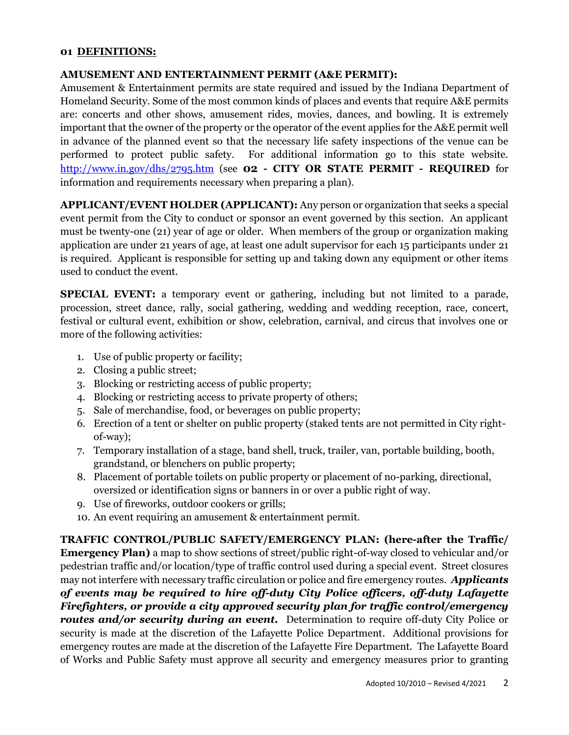### **01 DEFINITIONS:**

#### **AMUSEMENT AND ENTERTAINMENT PERMIT (A&E PERMIT):**

Amusement & Entertainment permits are state required and issued by the Indiana Department of Homeland Security. Some of the most common kinds of places and events that require A&E permits are: concerts and other shows, amusement rides, movies, dances, and bowling. It is extremely important that the owner of the property or the operator of the event applies for the A&E permit well in advance of the planned event so that the necessary life safety inspections of the venue can be performed to protect public safety. For additional information go to this state website. <http://www.in.gov/dhs/2795.htm> (see **02 - CITY OR STATE PERMIT - REQUIRED** for information and requirements necessary when preparing a plan).

**APPLICANT/EVENT HOLDER (APPLICANT):** Any person or organization that seeks a special event permit from the City to conduct or sponsor an event governed by this section. An applicant must be twenty-one (21) year of age or older. When members of the group or organization making application are under 21 years of age, at least one adult supervisor for each 15 participants under 21 is required. Applicant is responsible for setting up and taking down any equipment or other items used to conduct the event.

**SPECIAL EVENT:** a temporary event or gathering, including but not limited to a parade, procession, street dance, rally, social gathering, wedding and wedding reception, race, concert, festival or cultural event, exhibition or show, celebration, carnival, and circus that involves one or more of the following activities:

- 1. Use of public property or facility;
- 2. Closing a public street;
- 3. Blocking or restricting access of public property;
- 4. Blocking or restricting access to private property of others;
- 5. Sale of merchandise, food, or beverages on public property;
- 6. Erection of a tent or shelter on public property (staked tents are not permitted in City rightof-way);
- 7. Temporary installation of a stage, band shell, truck, trailer, van, portable building, booth, grandstand, or blenchers on public property;
- 8. Placement of portable toilets on public property or placement of no-parking, directional, oversized or identification signs or banners in or over a public right of way.
- 9. Use of fireworks, outdoor cookers or grills;
- 10. An event requiring an amusement & entertainment permit.

**TRAFFIC CONTROL/PUBLIC SAFETY/EMERGENCY PLAN: (here-after the Traffic/ Emergency Plan)** a map to show sections of street/public right-of-way closed to vehicular and/or pedestrian traffic and/or location/type of traffic control used during a special event. Street closures may not interfere with necessary traffic circulation or police and fire emergency routes. *Applicants of events may be required to hire off-duty City Police officers, off-duty Lafayette Firefighters, or provide a city approved security plan for traffic control/emergency routes and/or security during an event.* Determination to require off-duty City Police or security is made at the discretion of the Lafayette Police Department. Additional provisions for emergency routes are made at the discretion of the Lafayette Fire Department. The Lafayette Board of Works and Public Safety must approve all security and emergency measures prior to granting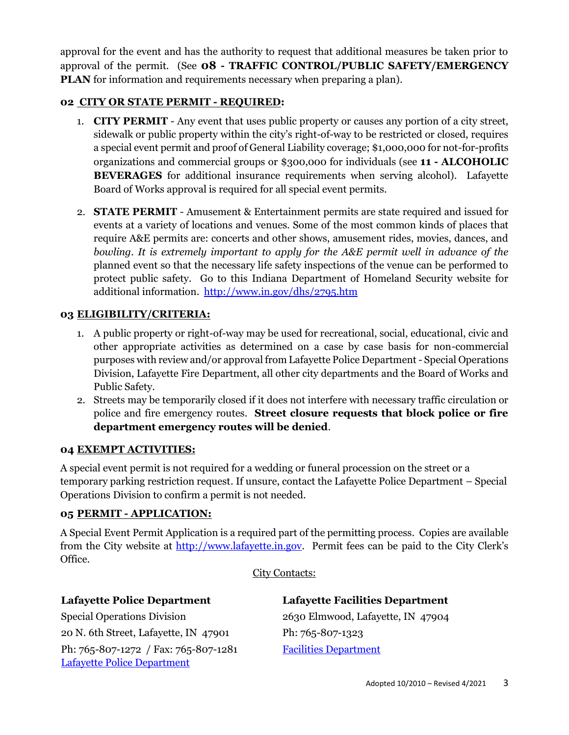approval for the event and has the authority to request that additional measures be taken prior to approval of the permit. (See **08 - TRAFFIC CONTROL/PUBLIC SAFETY/EMERGENCY PLAN** for information and requirements necessary when preparing a plan).

# **02 CITY OR STATE PERMIT - REQUIRED:**

- 1. **CITY PERMIT** Any event that uses public property or causes any portion of a city street, sidewalk or public property within the city's right-of-way to be restricted or closed, requires a special event permit and proof of General Liability coverage; \$1,000,000 for not-for-profits organizations and commercial groups or \$300,000 for individuals (see **11 - ALCOHOLIC BEVERAGES** for additional insurance requirements when serving alcohol). Lafayette Board of Works approval is required for all special event permits.
- 2. **STATE PERMIT** Amusement & Entertainment permits are state required and issued for events at a variety of locations and venues. Some of the most common kinds of places that require A&E permits are: concerts and other shows, amusement rides, movies, dances, and *bowling. It is extremely important to apply for the A&E permit well in advance of the* planned event so that the necessary life safety inspections of the venue can be performed to protect public safety. Go to this Indiana Department of Homeland Security website for additional information. <http://www.in.gov/dhs/2795.htm>

# **03 ELIGIBILITY/CRITERIA:**

- 1. A public property or right-of-way may be used for recreational, social, educational, civic and other appropriate activities as determined on a case by case basis for non-commercial purposes with review and/or approval from Lafayette Police Department - Special Operations Division, Lafayette Fire Department, all other city departments and the Board of Works and Public Safety.
- 2. Streets may be temporarily closed if it does not interfere with necessary traffic circulation or police and fire emergency routes. **Street closure requests that block police or fire department emergency routes will be denied**.

# **04 EXEMPT ACTIVITIES:**

A special event permit is not required for a wedding or funeral procession on the street or a temporary parking restriction request. If unsure, contact the Lafayette Police Department – Special Operations Division to confirm a permit is not needed.

# **05 PERMIT - APPLICATION:**

A Special Event Permit Application is a required part of the permitting process. Copies are available from the City website at [http://www.lafayette.in.gov.](http://www.lafayette.in.gov/666/Special-Event-Permit-Application-Rules) Permit fees can be paid to the City Clerk's Office.

City Contacts:

| <b>Lafayette Police Department</b>       | <b>Lafayette Facilities Department</b> |
|------------------------------------------|----------------------------------------|
| <b>Special Operations Division</b>       | 2630 Elmwood, Lafayette, IN 47904      |
| 20 N. 6th Street, Lafayette, IN 47901    | Ph: 765-807-1323                       |
| Ph: $765-807-1272$ / Fax: $765-807-1281$ | <b>Facilities Department</b>           |
| <b>Lafayette Police Department</b>       |                                        |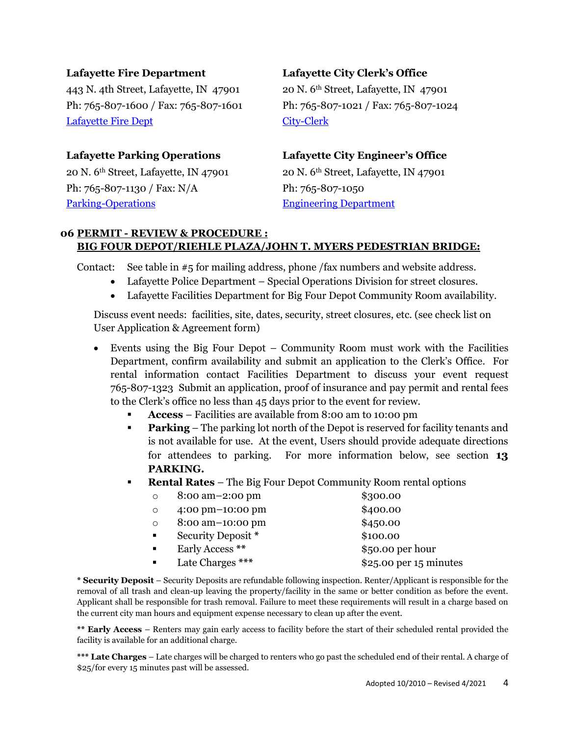443 N. 4th Street, Lafayette, IN 47901 20 N. 6th Street, Lafayette, IN 47901 Ph: 765-807-1600 / Fax: 765-807-1601 Ph: 765-807-1021 / Fax: 765-807-1024 [Lafayette Fire Dept](http://www.lafayette.in.gov/264/Fire-Department) [City-Clerk](http://www.lafayette.in.gov/153/City-Clerk)

Ph: 765-807-1130 / Fax: N/A Ph: 765-807-1050 [Parking-Operations](http://lafayette.in.gov/158/Parking-Operations) [Engineering Department](http://www.lafayette.in.gov/237/Engineering-Public-Works)

### **Lafayette Fire Department Lafayette City Clerk's Office**

# **Lafayette Parking Operations Lafayette City Engineer's Office**

20 N. 6<sup>th</sup> Street, Lafayette, IN 47901 20 N. 6<sup>th</sup> Street, Lafayette, IN 47901

### **06 PERMIT - REVIEW & PROCEDURE : BIG FOUR DEPOT/RIEHLE PLAZA/JOHN T. MYERS PEDESTRIAN BRIDGE:**

Contact: See table in #5 for mailing address, phone /fax numbers and website address.

- Lafayette Police Department Special Operations Division for street closures.
- Lafayette Facilities Department for Big Four Depot Community Room availability.

Discuss event needs: facilities, site, dates, security, street closures, etc. (see check list on User Application & Agreement form)

- Events using the Big Four Depot Community Room must work with the Facilities Department, confirm availability and submit an application to the Clerk's Office. For rental information contact Facilities Department to discuss your event request 765-807-1323 Submit an application, proof of insurance and pay permit and rental fees to the Clerk's office no less than 45 days prior to the event for review.
	- **Access** Facilities are available from 8:00 am to 10:00 pm
	- **Parking** The parking lot north of the Depot is reserved for facility tenants and is not available for use. At the event, Users should provide adequate directions for attendees to parking. For more information below, see section **13 PARKING.**
	- **Rental Rates** The Big Four Depot Community Room rental options

| $\circ$        | 8:00 am-2:00 pm    | \$300.00               |
|----------------|--------------------|------------------------|
| $\circ$        | 4:00 pm-10:00 pm   | \$400.00               |
| $\circ$        | 8:00 am-10:00 pm   | \$450.00               |
| $\blacksquare$ | Security Deposit * | \$100.00               |
| $\blacksquare$ | Early Access **    | $$50.00$ per hour      |
| $\blacksquare$ | Late Charges ***   | \$25.00 per 15 minutes |

**\* Security Deposit** – Security Deposits are refundable following inspection. Renter/Applicant is responsible for the removal of all trash and clean-up leaving the property/facility in the same or better condition as before the event. Applicant shall be responsible for trash removal. Failure to meet these requirements will result in a charge based on the current city man hours and equipment expense necessary to clean up after the event.

**\*\* Early Access** – Renters may gain early access to facility before the start of their scheduled rental provided the facility is available for an additional charge.

**\*\*\* Late Charges** – Late charges will be charged to renters who go past the scheduled end of their rental. A charge of \$25/for every 15 minutes past will be assessed.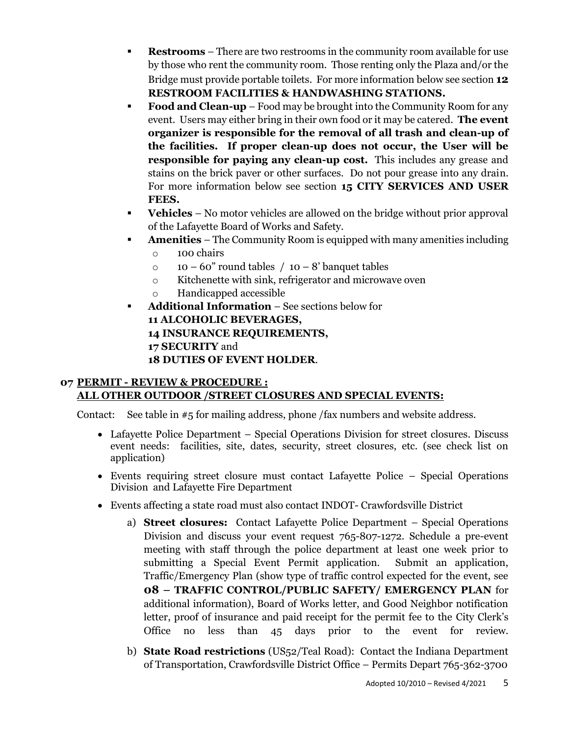- **Restrooms** There are two restrooms in the community room available for use by those who rent the community room. Those renting only the Plaza and/or the Bridge must provide portable toilets. For more information below see section **12 RESTROOM FACILITIES & HANDWASHING STATIONS.**
- **Food and Clean-up** Food may be brought into the Community Room for any event. Users may either bring in their own food or it may be catered. **The event organizer is responsible for the removal of all trash and clean-up of the facilities. If proper clean-up does not occur, the User will be responsible for paying any clean-up cost.** This includes any grease and stains on the brick paver or other surfaces. Do not pour grease into any drain. For more information below see section **15 CITY SERVICES AND USER FEES.**
- **Vehicles** No motor vehicles are allowed on the bridge without prior approval of the Lafayette Board of Works and Safety.
- **Amenities**  The Community Room is equipped with many amenities including
	- o 100 chairs
	- $\circ$  10 60" round tables / 10 8' banquet tables
	- o Kitchenette with sink, refrigerator and microwave oven
	- o Handicapped accessible
- **Additional Information** See sections below for **11 ALCOHOLIC BEVERAGES, 14 INSURANCE REQUIREMENTS, 17 SECURITY** and **18 DUTIES OF EVENT HOLDER**.

# **07 PERMIT - REVIEW & PROCEDURE : ALL OTHER OUTDOOR /STREET CLOSURES AND SPECIAL EVENTS:**

Contact: See table in #5 for mailing address, phone /fax numbers and website address.

- Lafayette Police Department Special Operations Division for street closures. Discuss event needs: facilities, site, dates, security, street closures, etc. (see check list on application)
- Events requiring street closure must contact Lafayette Police Special Operations Division and Lafayette Fire Department
- Events affecting a state road must also contact INDOT- Crawfordsville District
	- a) **Street closures:** Contact Lafayette Police Department Special Operations Division and discuss your event request 765-807-1272. Schedule a pre-event meeting with staff through the police department at least one week prior to submitting a Special Event Permit application. Submit an application, Traffic/Emergency Plan (show type of traffic control expected for the event, see **08 – TRAFFIC CONTROL/PUBLIC SAFETY/ EMERGENCY PLAN** for additional information), Board of Works letter, and Good Neighbor notification letter, proof of insurance and paid receipt for the permit fee to the City Clerk's Office no less than 45 days prior to the event for review.
	- b) **State Road restrictions** (US52/Teal Road): Contact the Indiana Department of Transportation, Crawfordsville District Office – Permits Depart 765-362-3700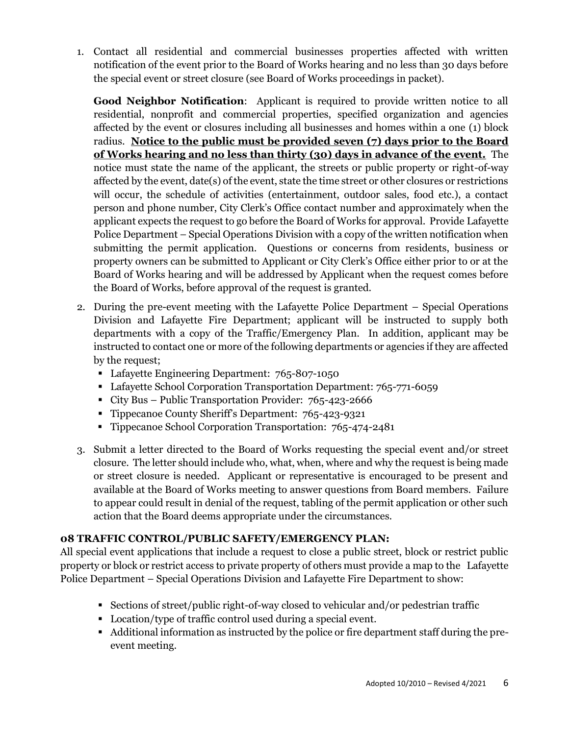1. Contact all residential and commercial businesses properties affected with written notification of the event prior to the Board of Works hearing and no less than 30 days before the special event or street closure (see Board of Works proceedings in packet).

**Good Neighbor Notification**: Applicant is required to provide written notice to all residential, nonprofit and commercial properties, specified organization and agencies affected by the event or closures including all businesses and homes within a one (1) block radius. **Notice to the public must be provided seven (7) days prior to the Board of Works hearing and no less than thirty (30) days in advance of the event.** The notice must state the name of the applicant, the streets or public property or right-of-way affected by the event, date(s) of the event, state the time street or other closures or restrictions will occur, the schedule of activities (entertainment, outdoor sales, food etc.), a contact person and phone number, City Clerk's Office contact number and approximately when the applicant expects the request to go before the Board of Works for approval. Provide Lafayette Police Department – Special Operations Division with a copy of the written notification when submitting the permit application. Questions or concerns from residents, business or property owners can be submitted to Applicant or City Clerk's Office either prior to or at the Board of Works hearing and will be addressed by Applicant when the request comes before the Board of Works, before approval of the request is granted.

- 2. During the pre-event meeting with the Lafayette Police Department Special Operations Division and Lafayette Fire Department; applicant will be instructed to supply both departments with a copy of the Traffic/Emergency Plan. In addition, applicant may be instructed to contact one or more of the following departments or agencies if they are affected by the request;
	- **-** Lafayette Engineering Department: 765-807-1050
	- Lafayette School Corporation Transportation Department: 765-771-6059
	- City Bus Public Transportation Provider: 765-423-2666
	- Tippecanoe County Sheriff's Department: 765-423-9321
	- **Tippecanoe School Corporation Transportation: 765-474-2481**
- 3. Submit a letter directed to the Board of Works requesting the special event and/or street closure. The letter should include who, what, when, where and why the request is being made or street closure is needed. Applicant or representative is encouraged to be present and available at the Board of Works meeting to answer questions from Board members. Failure to appear could result in denial of the request, tabling of the permit application or other such action that the Board deems appropriate under the circumstances.

# **08 TRAFFIC CONTROL/PUBLIC SAFETY/EMERGENCY PLAN:**

All special event applications that include a request to close a public street, block or restrict public property or block or restrict access to private property of others must provide a map to the Lafayette Police Department – Special Operations Division and Lafayette Fire Department to show:

- Sections of street/public right-of-way closed to vehicular and/or pedestrian traffic
- Location/type of traffic control used during a special event.
- Additional information as instructed by the police or fire department staff during the preevent meeting.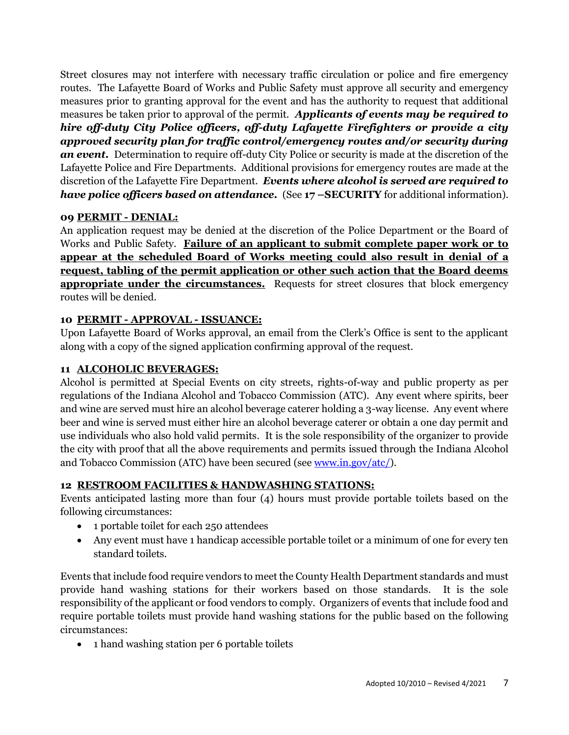Street closures may not interfere with necessary traffic circulation or police and fire emergency routes. The Lafayette Board of Works and Public Safety must approve all security and emergency measures prior to granting approval for the event and has the authority to request that additional measures be taken prior to approval of the permit. *Applicants of events may be required to hire off-duty City Police officers, off-duty Lafayette Firefighters or provide a city approved security plan for traffic control/emergency routes and/or security during an event.* Determination to require off-duty City Police or security is made at the discretion of the Lafayette Police and Fire Departments. Additional provisions for emergency routes are made at the discretion of the Lafayette Fire Department. *Events where alcohol is served are required to have police officers based on attendance.* (See **17 –SECURITY** for additional information).

# **09 PERMIT - DENIAL:**

An application request may be denied at the discretion of the Police Department or the Board of Works and Public Safety. **Failure of an applicant to submit complete paper work or to appear at the scheduled Board of Works meeting could also result in denial of a request, tabling of the permit application or other such action that the Board deems appropriate under the circumstances.** Requests for street closures that block emergency routes will be denied.

## **10 PERMIT - APPROVAL - ISSUANCE:**

Upon Lafayette Board of Works approval, an email from the Clerk's Office is sent to the applicant along with a copy of the signed application confirming approval of the request.

### **11 ALCOHOLIC BEVERAGES:**

Alcohol is permitted at Special Events on city streets, rights-of-way and public property as per regulations of the Indiana Alcohol and Tobacco Commission (ATC). Any event where spirits, beer and wine are served must hire an alcohol beverage caterer holding a 3-way license. Any event where beer and wine is served must either hire an alcohol beverage caterer or obtain a one day permit and use individuals who also hold valid permits. It is the sole responsibility of the organizer to provide the city with proof that all the above requirements and permits issued through the Indiana Alcohol and Tobacco Commission (ATC) have been secured (see [www.in.gov/atc/\)](http://www.in.gov/atc/).

# **12 RESTROOM FACILITIES & HANDWASHING STATIONS:**

Events anticipated lasting more than four (4) hours must provide portable toilets based on the following circumstances:

- 1 portable toilet for each 250 attendees
- Any event must have 1 handicap accessible portable toilet or a minimum of one for every ten standard toilets.

Events that include food require vendors to meet the County Health Department standards and must provide hand washing stations for their workers based on those standards. It is the sole responsibility of the applicant or food vendors to comply. Organizers of events that include food and require portable toilets must provide hand washing stations for the public based on the following circumstances:

• 1 hand washing station per 6 portable toilets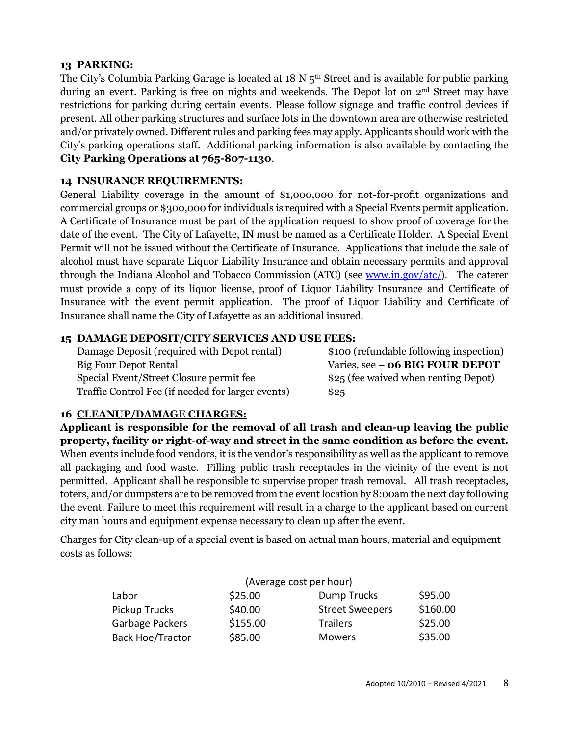# **13 PARKING:**

The City's Columbia Parking Garage is located at  $18 \text{ N } 5^{\text{th}}$  Street and is available for public parking during an event. Parking is free on nights and weekends. The Depot lot on 2<sup>nd</sup> Street may have restrictions for parking during certain events. Please follow signage and traffic control devices if present. All other parking structures and surface lots in the downtown area are otherwise restricted and/or privately owned. Different rules and parking fees may apply. Applicants should work with the City's parking operations staff. Additional parking information is also available by contacting the **City Parking Operations at 765-807-1130**.

## **14 INSURANCE REQUIREMENTS:**

General Liability coverage in the amount of \$1,000,000 for not-for-profit organizations and commercial groups or \$300,000 for individuals is required with a Special Events permit application. A Certificate of Insurance must be part of the application request to show proof of coverage for the date of the event. The City of Lafayette, IN must be named as a Certificate Holder. A Special Event Permit will not be issued without the Certificate of Insurance. Applications that include the sale of alcohol must have separate Liquor Liability Insurance and obtain necessary permits and approval through the Indiana Alcohol and Tobacco Commission (ATC) (see [www.in.gov/atc/](http://www.in.gov/atc/)). The caterer must provide a copy of its liquor license, proof of Liquor Liability Insurance and Certificate of Insurance with the event permit application. The proof of Liquor Liability and Certificate of Insurance shall name the City of Lafayette as an additional insured.

## **15 DAMAGE DEPOSIT/CITY SERVICES AND USE FEES:**

| Damage Deposit (required with Depot rental)       | \$100 (refundable following inspection) |
|---------------------------------------------------|-----------------------------------------|
|                                                   |                                         |
| <b>Big Four Depot Rental</b>                      | Varies, see - <b>06 BIG FOUR DEPOT</b>  |
| Special Event/Street Closure permit fee           | \$25 (fee waived when renting Depot)    |
| Traffic Control Fee (if needed for larger events) | \$25                                    |

# **16 CLEANUP/DAMAGE CHARGES:**

**Applicant is responsible for the removal of all trash and clean-up leaving the public property, facility or right-of-way and street in the same condition as before the event.** When events include food vendors, it is the vendor's responsibility as well as the applicant to remove all packaging and food waste. Filling public trash receptacles in the vicinity of the event is not permitted. Applicant shall be responsible to supervise proper trash removal. All trash receptacles, toters, and/or dumpsters are to be removed from the event location by 8:00am the next day following the event. Failure to meet this requirement will result in a charge to the applicant based on current city man hours and equipment expense necessary to clean up after the event.

Charges for City clean-up of a special event is based on actual man hours, material and equipment costs as follows:

| (Average cost per hour) |          |                        |          |
|-------------------------|----------|------------------------|----------|
| Labor                   | \$25.00  | Dump Trucks            | \$95.00  |
| Pickup Trucks           | \$40.00  | <b>Street Sweepers</b> | \$160.00 |
| Garbage Packers         | \$155.00 | <b>Trailers</b>        | \$25.00  |
| <b>Back Hoe/Tractor</b> | \$85.00  | <b>Mowers</b>          | \$35.00  |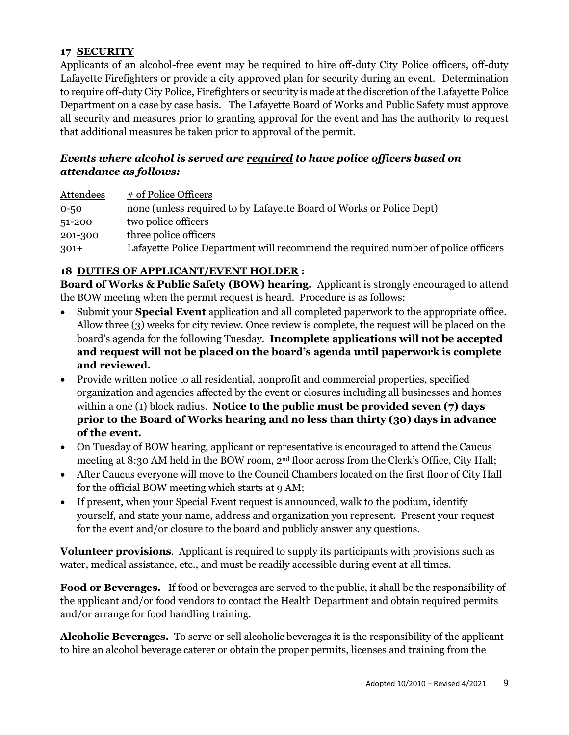# **17 SECURITY**

Applicants of an alcohol-free event may be required to hire off-duty City Police officers, off-duty Lafayette Firefighters or provide a city approved plan for security during an event.Determination to require off-duty City Police, Firefighters or security is made at the discretion of the Lafayette Police Department on a case by case basis. The Lafayette Board of Works and Public Safety must approve all security and measures prior to granting approval for the event and has the authority to request that additional measures be taken prior to approval of the permit.

# *Events where alcohol is served are required to have police officers based on attendance as follows:*

| Attendees | # of Police Officers                                                              |
|-----------|-----------------------------------------------------------------------------------|
| $0 - 50$  | none (unless required to by Lafayette Board of Works or Police Dept)              |
| $51-200$  | two police officers                                                               |
| 201-300   | three police officers                                                             |
| $301+$    | Lafayette Police Department will recommend the required number of police officers |

# **18 DUTIES OF APPLICANT/EVENT HOLDER :**

**Board of Works & Public Safety (BOW) hearing.** Applicant is strongly encouraged to attend the BOW meeting when the permit request is heard. Procedure is as follows:

- Submit your **Special Event** application and all completed paperwork to the appropriate office. Allow three (3) weeks for city review. Once review is complete, the request will be placed on the board's agenda for the following Tuesday. **Incomplete applications will not be accepted and request will not be placed on the board's agenda until paperwork is complete and reviewed.**
- Provide written notice to all residential, nonprofit and commercial properties, specified organization and agencies affected by the event or closures including all businesses and homes within a one (1) block radius. **Notice to the public must be provided seven (7) days prior to the Board of Works hearing and no less than thirty (30) days in advance of the event.**
- On Tuesday of BOW hearing, applicant or representative is encouraged to attend the Caucus meeting at 8:30 AM held in the BOW room, 2nd floor across from the Clerk's Office, City Hall;
- After Caucus everyone will move to the Council Chambers located on the first floor of City Hall for the official BOW meeting which starts at 9 AM;
- If present, when your Special Event request is announced, walk to the podium, identify yourself, and state your name, address and organization you represent. Present your request for the event and/or closure to the board and publicly answer any questions.

**Volunteer provisions**. Applicant is required to supply its participants with provisions such as water, medical assistance, etc., and must be readily accessible during event at all times.

**Food or Beverages.** If food or beverages are served to the public, it shall be the responsibility of the applicant and/or food vendors to contact the Health Department and obtain required permits and/or arrange for food handling training.

**Alcoholic Beverages.** To serve or sell alcoholic beverages it is the responsibility of the applicant to hire an alcohol beverage caterer or obtain the proper permits, licenses and training from the